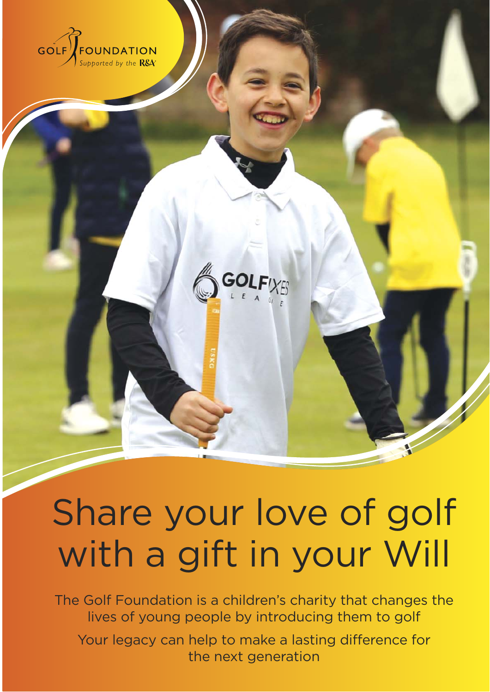



# Share your love of golf with a gift in your Will

The Golf Foundation is a children's charity that changes the lives of young people by introducing them to golf

Your legacy can help to make a lasting difference for the next generation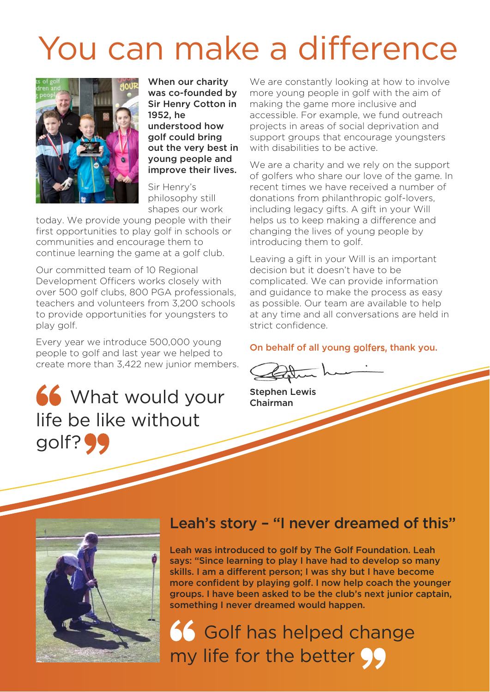## You can make a difference



When our charity was co-founded by Sir Henry Cotton in 1952, he understood how golf could bring out the very best in young people and improve their lives.

Sir Henry's philosophy still shapes our work

today. We provide young people with their first opportunities to play golf in schools or communities and encourage them to continue learning the game at a golf club.

Our committed team of 10 Regional Development Officers works closely with over 500 golf clubs, 800 PGA professionals, teachers and volunteers from 3,200 schools to provide opportunities for youngsters to play golf.

Every year we introduce 500,000 young people to golf and last year we helped to create more than 3,422 new junior members.

## 66 What would your life be like without golf?<sup>99</sup>

We are constantly looking at how to involve more young people in golf with the aim of making the game more inclusive and accessible. For example, we fund outreach projects in areas of social deprivation and support groups that encourage youngsters with disabilities to be active.

We are a charity and we rely on the support of golfers who share our love of the game. In recent times we have received a number of donations from philanthropic golf-lovers, including legacy gifts. A gift in your Will helps us to keep making a difference and changing the lives of young people by introducing them to golf.

Leaving a gift in your Will is an important decision but it doesn't have to be complicated. We can provide information and guidance to make the process as easy as possible. Our team are available to help at any time and all conversations are held in strict confidence.

#### On behalf of all young golfers, thank you.

Stephen Lewis Chairman



### Leah's story – "I never dreamed of this"

Leah was introduced to golf by The Golf Foundation. Leah says: "Since learning to play I have had to develop so many skills. I am a different person; I was shy but I have become more confident by playing golf. I now help coach the younger groups. I have been asked to be the club's next junior captain, something I never dreamed would happen.

**15 Golf has helped change** my life for the better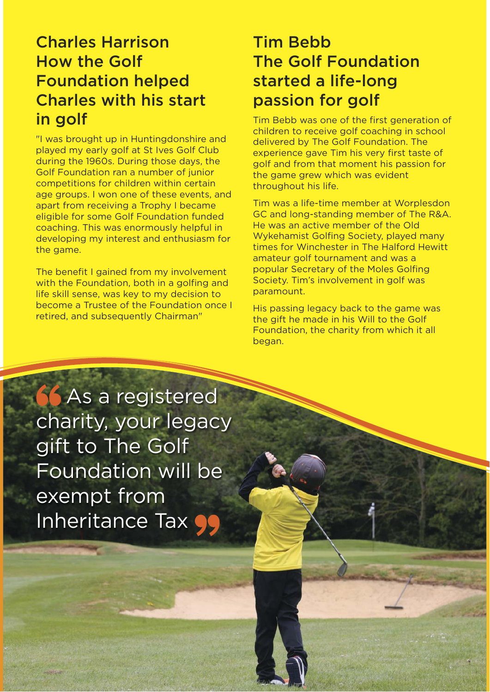### Charles Harrison How the Golf Foundation helped Charles with his start in golf

"I was brought up in Huntingdonshire and played my early golf at St Ives Golf Club during the 1960s. During those days, the Golf Foundation ran a number of junior competitions for children within certain age groups. I won one of these events, and apart from receiving a Trophy I became eligible for some Golf Foundation funded coaching. This was enormously helpful in developing my interest and enthusiasm for the game.

The benefit I gained from my involvement with the Foundation, both in a golfing and life skill sense, was key to my decision to become a Trustee of the Foundation once I retired, and subsequently Chairman"

### Tim Bebb The Golf Foundation started a life-long passion for golf

Tim Bebb was one of the first generation of children to receive golf coaching in school delivered by The Golf Foundation. The experience gave Tim his very first taste of golf and from that moment his passion for the game grew which was evident throughout his life.

Tim was a life-time member at Worplesdon GC and long-standing member of The R&A. He was an active member of the Old Wykehamist Golfing Society, played many times for Winchester in The Halford Hewitt amateur golf tournament and was a popular Secretary of the Moles Golfing Society. Tim's involvement in golf was paramount.

His passing legacy back to the game was the gift he made in his Will to the Golf Foundation, the charity from which it all began.

**66** As a registered charity, your legacy gift to The Golf Foundation will be exempt from Inheritance Tax  $\bullet$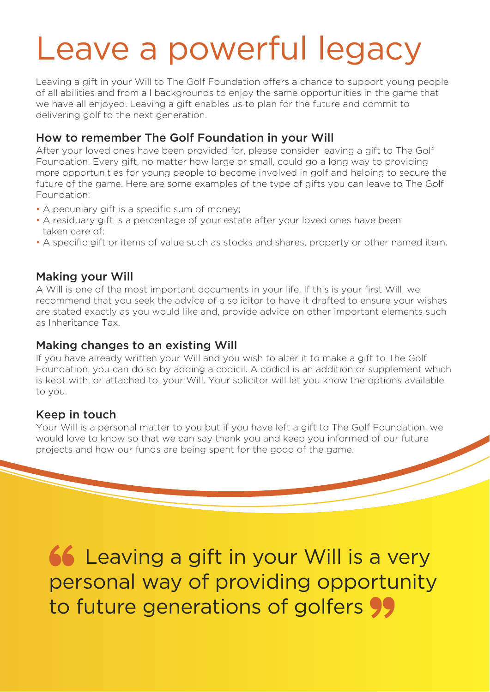## Leave a powerful legacy

Leaving a gift in your Will to The Golf Foundation offers a chance to support young people of all abilities and from all backgrounds to enjoy the same opportunities in the game that we have all enjoyed. Leaving a gift enables us to plan for the future and commit to delivering golf to the next generation.

#### How to remember The Golf Foundation in your Will

After your loved ones have been provided for, please consider leaving a gift to The Golf Foundation. Every gift, no matter how large or small, could go a long way to providing more opportunities for young people to become involved in golf and helping to secure the future of the game. Here are some examples of the type of gifts you can leave to The Golf Foundation:

- A pecuniary gift is a specific sum of money;
- A residuary gift is a percentage of your estate after your loved ones have been taken care of;
- A specific gift or items of value such as stocks and shares, property or other named item.

#### Making your Will

A Will is one of the most important documents in your life. If this is your first Will, we recommend that you seek the advice of a solicitor to have it drafted to ensure your wishes are stated exactly as you would like and, provide advice on other important elements such as Inheritance Tax.

#### Making changes to an existing Will

If you have already written your Will and you wish to alter it to make a gift to The Golf Foundation, you can do so by adding a codicil. A codicil is an addition or supplement which is kept with, or attached to, your Will. Your solicitor will let you know the options available to you.

#### Keep in touch

Your Will is a personal matter to you but if you have left a gift to The Golf Foundation, we would love to know so that we can say thank you and keep you informed of our future projects and how our funds are being spent for the good of the game.

**66 Leaving a gift in your Will is a very** personal way of providing opportunity to future generations of golfers 99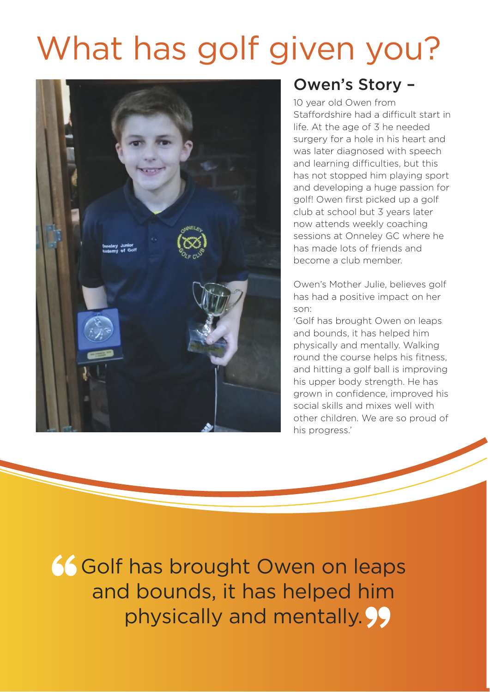## What has golf given you?



### Owen's Story –

10 year old Owen from Staffordshire had a difficult start in life. At the age of 3 he needed surgery for a hole in his heart and was later diagnosed with speech and learning difficulties, but this has not stopped him playing sport and developing a huge passion for golf! Owen first picked up a golf club at school but 3 years later now attends weekly coaching sessions at Onneley GC where he has made lots of friends and become a club member.

Owen's Mother Julie, believes golf has had a positive impact on her son:

'Golf has brought Owen on leaps and bounds, it has helped him physically and mentally. Walking round the course helps his fitness, and hitting a golf ball is improving his upper body strength. He has grown in confidence, improved his social skills and mixes well with other children. We are so proud of his progress.'

66 Golf has brought Owen on leaps and bounds, it has helped him physically and mentally. 99